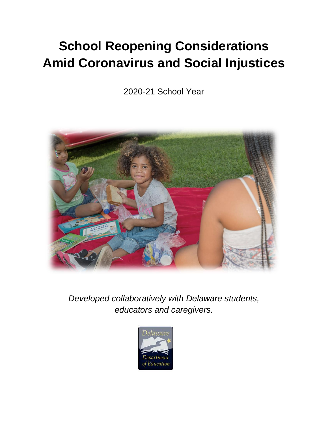# **School Reopening Considerations Amid Coronavirus and Social Injustices**

2020-21 School Year



*Developed collaboratively with Delaware students, educators and caregivers.*

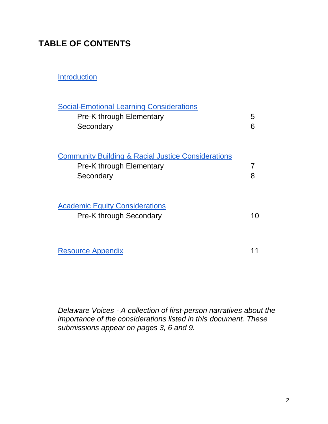## **TABLE OF CONTENTS**

**[Introduction](#page-2-0)** 

| <b>Social-Emotional Learning Considerations</b><br>Pre-K through Elementary<br>Secondary               | 5<br>6 |
|--------------------------------------------------------------------------------------------------------|--------|
| <b>Community Building &amp; Racial Justice Considerations</b><br>Pre-K through Elementary<br>Secondary | 8      |
| <b>Academic Equity Considerations</b><br><b>Pre-K through Secondary</b>                                | 10     |
| <b>Resource Appendix</b>                                                                               |        |

*Delaware Voices - A collection of first-person narratives about the importance of the considerations listed in this document. These submissions appear on pages 3, 6 and 9.*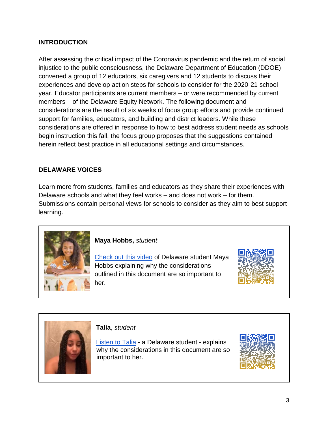#### <span id="page-2-0"></span>**INTRODUCTION**

After assessing the critical impact of the Coronavirus pandemic and the return of social injustice to the public consciousness, the Delaware Department of Education (DDOE) convened a group of 12 educators, six caregivers and 12 students to discuss their experiences and develop action steps for schools to consider for the 2020-21 school year. Educator participants are current members – or were recommended by current members – of the Delaware Equity Network. The following document and considerations are the result of six weeks of focus group efforts and provide continued support for families, educators, and building and district leaders. While these considerations are offered in response to how to best address student needs as schools begin instruction this fall, the focus group proposes that the suggestions contained herein reflect best practice in all educational settings and circumstances.

#### **DELAWARE VOICES**

Learn more from students, families and educators as they share their experiences with Delaware schools and what they feel works – and does not work – for them. Submissions contain personal views for schools to consider as they aim to best support learning.



**Maya Hobbs,** *student*

[Check out this video](https://drive.google.com/file/d/1LNG4RS0KaijXvDRQ5J9G5Y3lgi4inEm4/view?usp=sharing) of Delaware student Maya Hobbs explaining why the considerations outlined in this document are so important to her.





**Talia**, *student*

[Listen to Talia](https://drive.google.com/file/d/1WoM-YYSinMQKu7G66Wn4pUh_5LoZ-og5/view?usp=drivesdk) - a Delaware student - explains why the considerations in this document are so important to her.

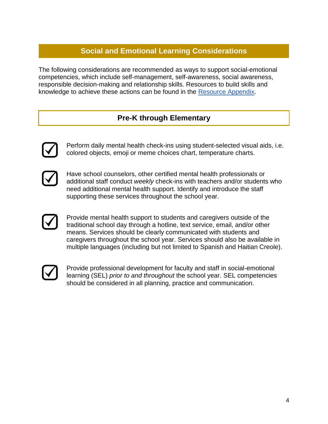## **Social and Emotional Learning Considerations**

<span id="page-3-0"></span>The following considerations are recommended as ways to support social-emotional competencies, which include self-management, self-awareness, social awareness, responsible decision-making and relationship skills. Resources to build skills and knowledge to achieve these actions can be found in the [Resource Appendix.](#page-10-0)

#### **Pre-K through Elementary**



Perform daily mental health check-ins using student-selected visual aids, i.e. colored objects, emoji or meme choices chart, temperature charts.



Have school counselors, other certified mental health professionals or additional staff conduct *weekly* check-ins with teachers and/or students who need additional mental health support. Identify and introduce the staff supporting these services throughout the school year.



Provide mental health support to students and caregivers outside of the traditional school day through a hotline, text service, email, and/or other means. Services should be clearly communicated with students and caregivers throughout the school year. Services should also be available in multiple languages (including but not limited to Spanish and Haitian Creole).



Provide professional development for faculty and staff in social-emotional learning (SEL) *prior to and throughout* the school year. SEL competencies should be considered in all planning, practice and communication.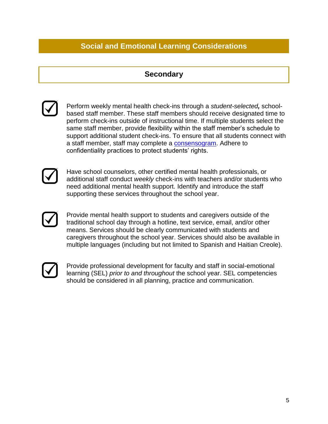## **Social and Emotional Learning Considerations**

#### **Secondary**





Have school counselors, other certified mental health professionals, or additional staff conduct *weekly* check-ins with teachers and/or students who need additional mental health support. Identify and introduce the staff supporting these services throughout the school year.



Provide mental health support to students and caregivers outside of the traditional school day through a hotline, text service, email, and/or other means. Services should be clearly communicated with students and caregivers throughout the school year. Services should also be available in multiple languages (including but not limited to Spanish and Haitian Creole).



Provide professional development for faculty and staff in social-emotional learning (SEL) *prior to and throughout* the school year. SEL competencies should be considered in all planning, practice and communication.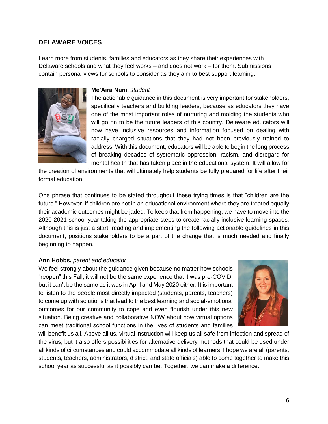#### **DELAWARE VOICES**

Learn more from students, families and educators as they share their experiences with Delaware schools and what they feel works – and does not work – for them. Submissions contain personal views for schools to consider as they aim to best support learning.



#### **Me'Aira Nuni,** *student*

The actionable guidance in this document is very important for stakeholders, specifically teachers and building leaders, because as educators they have one of the most important roles of nurturing and molding the students who will go on to be the future leaders of this country. Delaware educators will now have inclusive resources and information focused on dealing with racially charged situations that they had not been previously trained to address. With this document, educators will be able to begin the long process of breaking decades of systematic oppression, racism, and disregard for mental health that has taken place in the educational system. It will allow for

the creation of environments that will ultimately help students be fully prepared for life after their formal education.

One phrase that continues to be stated throughout these trying times is that "children are the future." However, if children are not in an educational environment where they are treated equally their academic outcomes might be jaded. To keep that from happening, we have to move into the 2020-2021 school year taking the appropriate steps to create racially inclusive learning spaces. Although this is just a start, reading and implementing the following actionable guidelines in this document, positions stakeholders to be a part of the change that is much needed and finally beginning to happen.

#### **Ann Hobbs,** *parent and educator*

We feel strongly about the guidance given because no matter how schools "reopen" this Fall, it will not be the same experience that it was pre-COVID, but it can't be the same as it was in April and May 2020 either. It is important to listen to the people most directly impacted (students, parents, teachers) to come up with solutions that lead to the best learning and social-emotional outcomes for our community to cope and even flourish under this new situation. Being creative and collaborative NOW about how virtual options can meet traditional school functions in the lives of students and families



will benefit us all. Above all us, virtual instruction will keep us all safe from infection and spread of the virus, but it also offers possibilities for alternative delivery methods that could be used under all kinds of circumstances and could accommodate all kinds of learners. I hope we are all (parents, students, teachers, administrators, district, and state officials) able to come together to make this school year as successful as it possibly can be. Together, we can make a difference.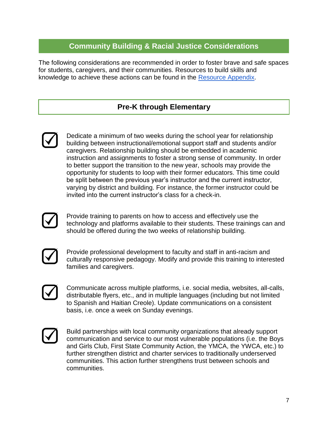## **Community Building & Racial Justice Considerations**

<span id="page-6-0"></span>The following considerations are recommended in order to foster brave and safe spaces for students, caregivers, and their communities. Resources to build skills and knowledge to achieve these actions can be found in the [Resource Appendix.](#page-10-0)

#### **Pre-K through Elementary**



Dedicate a minimum of two weeks during the school year for relationship building between instructional/emotional support staff and students and/or caregivers. Relationship building should be embedded in academic instruction and assignments to foster a strong sense of community. In order to better support the transition to the new year, schools may provide the opportunity for students to loop with their former educators. This time could be split between the previous year's instructor and the current instructor, varying by district and building. For instance, the former instructor could be invited into the current instructor's class for a check-in.



Provide training to parents on how to access and effectively use the technology and platforms available to their students. These trainings can and should be offered during the two weeks of relationship building.



Provide professional development to faculty and staff in anti-racism and culturally responsive pedagogy. Modify and provide this training to interested families and caregivers.

Communicate across multiple platforms, i.e. social media, websites, all-calls, distributable flyers, etc., and in multiple languages (including but not limited to Spanish and Haitian Creole). Update communications on a consistent basis, i.e. once a week on Sunday evenings.



Build partnerships with local community organizations that already support communication and service to our most vulnerable populations (i.e. the Boys and Girls Club, First State Community Action, the YMCA, the YWCA, etc.) to further strengthen district and charter services to traditionally underserved communities. This action further strengthens trust between schools and communities.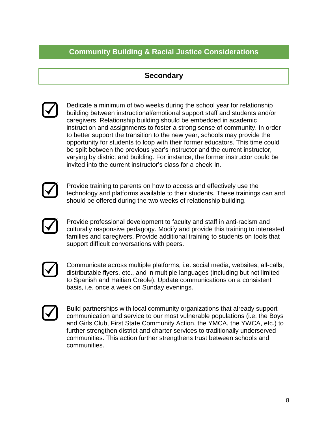## **Community Building & Racial Justice Considerations**

#### **Secondary**



Dedicate a minimum of two weeks during the school year for relationship building between instructional/emotional support staff and students and/or caregivers. Relationship building should be embedded in academic instruction and assignments to foster a strong sense of community. In order to better support the transition to the new year, schools may provide the opportunity for students to loop with their former educators. This time could be split between the previous year's instructor and the current instructor, varying by district and building. For instance, the former instructor could be invited into the current instructor's class for a check-in.



Provide training to parents on how to access and effectively use the technology and platforms available to their students. These trainings can and should be offered during the two weeks of relationship building.



Provide professional development to faculty and staff in anti-racism and culturally responsive pedagogy. Modify and provide this training to interested families and caregivers. Provide additional training to students on tools that support difficult conversations with peers.



Communicate across multiple platforms, i.e. social media, websites, all-calls, distributable flyers, etc., and in multiple languages (including but not limited to Spanish and Haitian Creole). Update communications on a consistent basis, i.e. once a week on Sunday evenings.



Build partnerships with local community organizations that already support communication and service to our most vulnerable populations (i.e. the Boys and Girls Club, First State Community Action, the YMCA, the YWCA, etc.) to further strengthen district and charter services to traditionally underserved communities. This action further strengthens trust between schools and communities.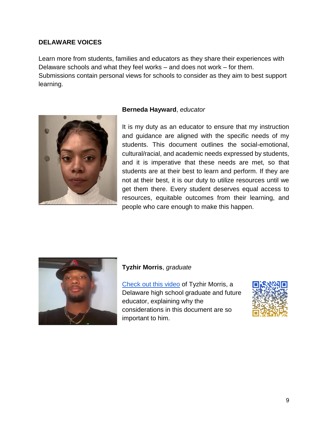#### **DELAWARE VOICES**

Learn more from students, families and educators as they share their experiences with Delaware schools and what they feel works – and does not work – for them. Submissions contain personal views for schools to consider as they aim to best support learning.



#### **Berneda Hayward**, *educator*

It is my duty as an educator to ensure that my instruction and guidance are aligned with the specific needs of my students. This document outlines the social-emotional, cultural/racial, and academic needs expressed by students, and it is imperative that these needs are met, so that students are at their best to learn and perform. If they are not at their best, it is our duty to utilize resources until we get them there. Every student deserves equal access to resources, equitable outcomes from their learning, and people who care enough to make this happen.



#### **Tyzhir Morris**, *graduate*

[Check out this video](https://drive.google.com/file/d/1paJ_I6EUpK6V7zB_68FVfV7Nkoy_u_7D/view?usp=sharing) of Tyzhir Morris, a Delaware high school graduate and future educator, explaining why the considerations in this document are so important to him.

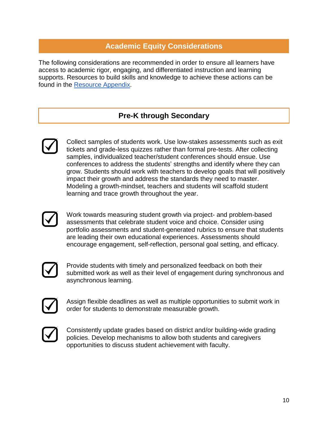### **Academic Equity Considerations**

<span id="page-9-0"></span>The following considerations are recommended in order to ensure all learners have access to academic rigor, engaging, and differentiated instruction and learning supports. Resources to build skills and knowledge to achieve these actions can be found in the [Resource Appendix.](#page-10-0)

#### **Pre-K through Secondary**



Collect samples of students work. Use low-stakes assessments such as exit tickets and grade-less quizzes rather than formal pre-tests. After collecting samples, individualized teacher/student conferences should ensue. Use conferences to address the students' strengths and identify where they can grow. Students should work with teachers to develop goals that will positively impact their growth and address the standards they need to master. Modeling a growth-mindset, teachers and students will scaffold student learning and trace growth throughout the year.



Work towards measuring student growth via project- and problem-based assessments that celebrate student voice and choice. Consider using portfolio assessments and student-generated rubrics to ensure that students are leading their own educational experiences. Assessments should encourage engagement, self-reflection, personal goal setting, and efficacy.



Provide students with timely and personalized feedback on both their submitted work as well as their level of engagement during synchronous and asynchronous learning.



Assign flexible deadlines as well as multiple opportunities to submit work in order for students to demonstrate measurable growth.



Consistently update grades based on district and/or building-wide grading policies. Develop mechanisms to allow both students and caregivers opportunities to discuss student achievement with faculty.